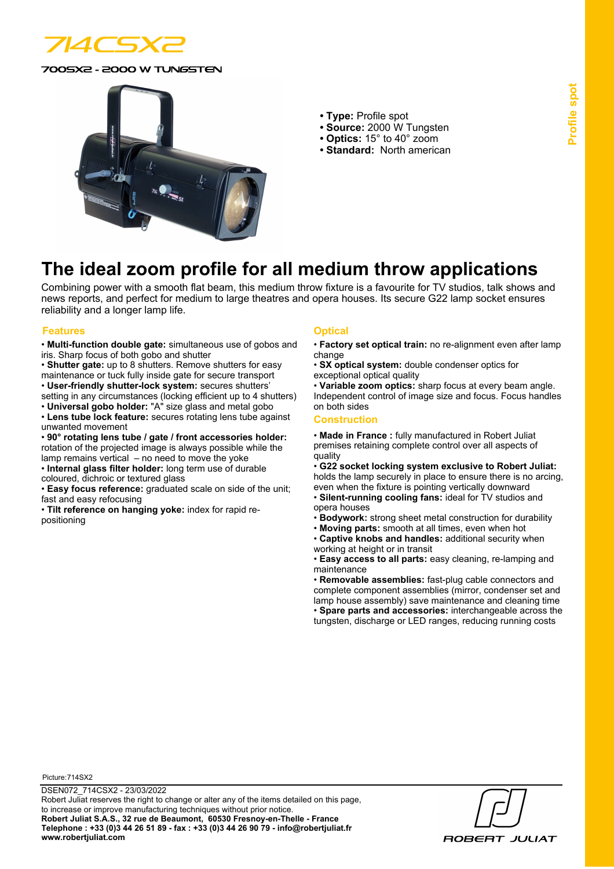

0SX2 - 2000 W TUNGSTEN



- **Type:** Profile spot
- **Source:** 2000 W Tungsten
- **Optics:** 15° to 40° zoom
- **Standard:** North american

# **The ideal zoom profile for all medium throw applications**

Combining power with a smooth flat beam, this medium throw fixture is a favourite for TV studios, talk shows and news reports, and perfect for medium to large theatres and opera houses. Its secure G22 lamp socket ensures reliability and a longer lamp life.

#### **Features Optical**

- **Multi-function double gate:** simultaneous use of gobos and iris. Sharp focus of both gobo and shutter
- **Shutter gate:** up to 8 shutters. Remove shutters for easy
- maintenance or tuck fully inside gate for secure transport • **User-friendly shutter-lock system:** secures shutters'
- 
- setting in any circumstances (locking efficient up to 4 shutters) • **Universal gobo holder:** "A" size glass and metal gobo
- **Lens tube lock feature:** secures rotating lens tube against unwanted movement
- **90° rotating lens tube / gate / front accessories holder:** rotation of the projected image is always possible while the lamp remains vertical – no need to move the yoke
- **Internal glass filter holder:** long term use of durable coloured, dichroic or textured glass
- 

• **Easy focus reference:** graduated scale on side of the unit; fast and easy refocusing

• **Tilt reference on hanging yoke:** index for rapid repositioning

- **Factory set optical train:** no re-alignment even after lamp change
- **SX optical system:** double condenser optics for exceptional optical quality

• **Variable zoom optics:** sharp focus at every beam angle. Independent control of image size and focus. Focus handles on both sides

#### **Construction**

• **Made in France :** fully manufactured in Robert Juliat premises retaining complete control over all aspects of quality

• **G22 socket locking system exclusive to Robert Juliat:** holds the lamp securely in place to ensure there is no arcing, even when the fixture is pointing vertically downward

- **Silent-running cooling fans:** ideal for TV studios and opera houses
- **Bodywork:** strong sheet metal construction for durability
- **Moving parts:** smooth at all times, even when hot
- **Captive knobs and handles:** additional security when working at height or in transit

• **Easy access to all parts:** easy cleaning, re-lamping and maintenance

• **Removable assemblies:** fast-plug cable connectors and complete component assemblies (mirror, condenser set and lamp house assembly) save maintenance and cleaning time • **Spare parts and accessories:** interchangeable across the tungsten, discharge or LED ranges, reducing running costs

Picture: 714SX2

**ROBERT JULIAT**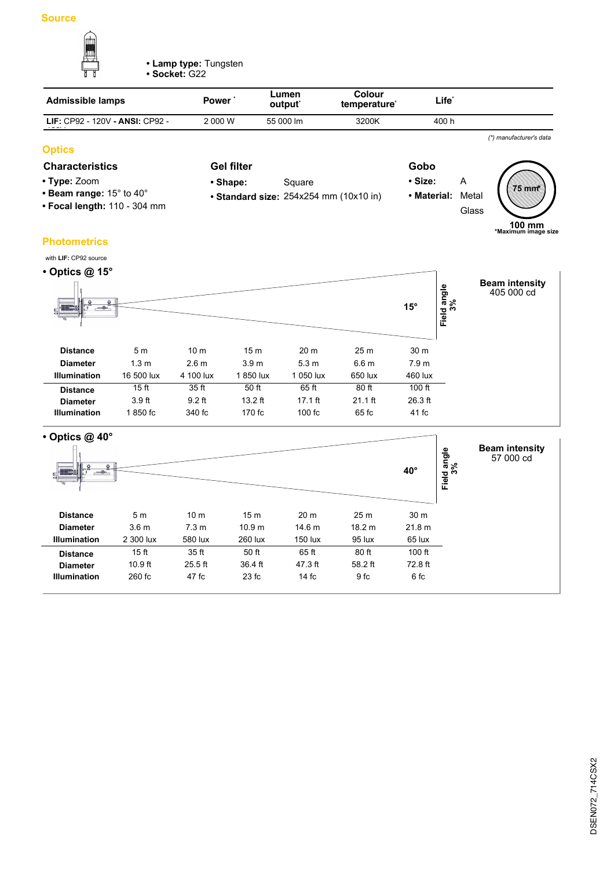

**• Lamp type:** Tungsten

**• Socket:** G22

| <b>Admissible lamps</b>                | <b>Power</b> | Lumen<br>output <sup>*</sup> | Colour<br>temperature <sup>*</sup> | Life' |  |
|----------------------------------------|--------------|------------------------------|------------------------------------|-------|--|
| <b>LIF: CP92 - 120V - ANSI: CP92 -</b> | 2 000 W      | 55 000 lm                    | 3200K                              | 400 h |  |
|                                        |              |                              |                                    |       |  |

# **Optics**

## **Characteristics Gel filter Gobo**

- **Type:** Zoom
- **Beam range:** 15° to 40°
- **Focal length:** 110 304 mm
- **Shape:** Square

**Gel filter**

- 
- **Standard size:** 254x254 mm (10x10 in)
- **Size:** A **• Material:** Metal **Glass 75 mm \***

*(\*) manufacturer's data*

**100 mm \*Maximum image size**

**Photometrics**



| $\cdot$ Optics @ 40 $\circ$<br>$-\circ$ |                  |                  |                   |                   |                 | $40^{\circ}$    | Field angle<br>3% | <b>Beam intensity</b><br>57 000 cd |
|-----------------------------------------|------------------|------------------|-------------------|-------------------|-----------------|-----------------|-------------------|------------------------------------|
| <b>Distance</b>                         | 5 <sub>m</sub>   | 10 <sub>m</sub>  | 15 <sub>m</sub>   | 20 <sub>m</sub>   | 25 <sub>m</sub> | 30 <sub>m</sub> |                   |                                    |
| <b>Diameter</b>                         | 3.6 <sub>m</sub> | 7.3 <sub>m</sub> | 10.9 <sub>m</sub> | 14.6 <sub>m</sub> | 18.2 m          | 21.8 m          |                   |                                    |
| <b>Illumination</b>                     | 2 300 lux        | 580 lux          | 260 lux           | 150 lux           | 95 lux          | 65 lux          |                   |                                    |
| <b>Distance</b>                         | 15 <sub>ft</sub> | 35 ft            | 50 ft             | 65 ft             | 80 ft           | $100$ ft        |                   |                                    |
| <b>Diameter</b>                         | $10.9$ ft        | $25.5$ ft        | 36.4 ft           | 47.3 ft           | 58.2 ft         | 72.8 ft         |                   |                                    |
| <b>Illumination</b>                     | 260 fc           | 47 fc            | 23 fc             | 14fc              | 9 fc            | 6 fc            |                   |                                    |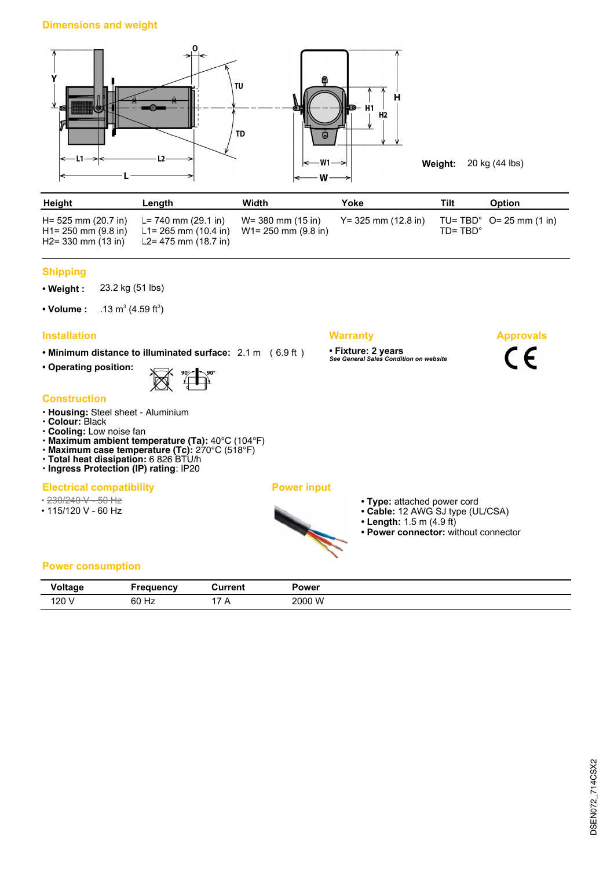### **Dimensions and weight**



| Height                                         | Length                                                                                                                           | Width | Yoke                   | Tilt               | <b>Option</b>                      |
|------------------------------------------------|----------------------------------------------------------------------------------------------------------------------------------|-------|------------------------|--------------------|------------------------------------|
| $H1 = 250$ mm $(9.8$ in)<br>H2= 330 mm (13 in) | H = 525 mm (20.7 in) L = 740 mm (29.1 in) W = 380 mm (15 in)<br>L1= 265 mm (10.4 in) W1= 250 mm (9.8 in)<br>L2= 475 mm (18.7 in) |       | $Y = 325$ mm (12.8 in) | $ID = TBD^{\circ}$ | TU= TBD $^{\circ}$ O= 25 mm (1 in) |

### **Shipping**

**• Weight :** 23.2 kg (51 lbs)

• Volume :  $(4.59 \text{ ft}^3)$ 

# **Installation Warranty**

**• Minimum distance to illuminated surface:** 2.1 m ( 6.9 ft )

**• Operating position:**



#### **Construction**

- **Housing:** Steel sheet Aluminium
- **Colour:** Black
- **Cooling:** Low noise fan
- **Maximum ambient temperature (Ta):** 40°C (104°F)
- **Maximum case temperature (Tc):** 270°C (518°F)
- **Total heat dissipation:** 6 826 BTU/h **• Ingress Protection (IP) rating**: IP20

# **Electrical compatibility Power input**

- 230/240 V 50 Hz
- 115/120 V 60 Hz

- 
- **Type:** attached power cord
- **Cable:** 12 AWG SJ type (UL/CSA)
- **Length:** 1.5 m (4.9 ft)

**• Fixture: 2 years** *See General Sales Condition on website*

**• Power connector:** without connector

**Approvals**

 $C \in$ 

## **Power consumption**

| Voltage<br>- 3   | requency | Current<br>U⊌     | Power  |
|------------------|----------|-------------------|--------|
| 120 <sup>1</sup> | 60 Hz    | . .<br>$\sqrt{ }$ | 2000 W |